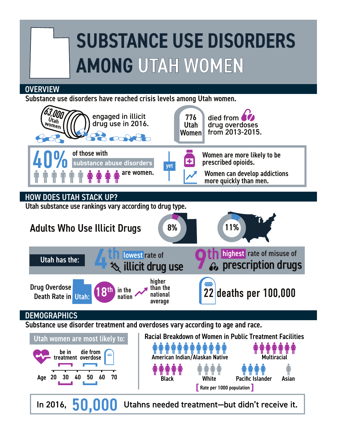## SUBSTANCE USE DISORDERS AMONG UTAH WOMEN

## **OVERVIEW**

Substance use disorders have reached crisis levels among Utah women.